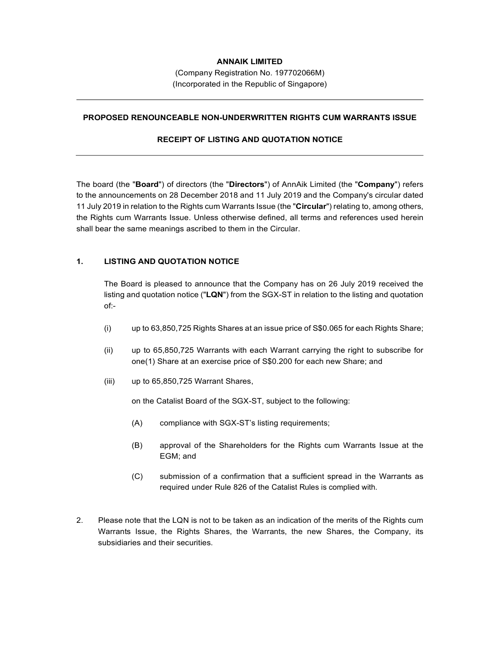## ANNAIK LIMITED

(Company Registration No. 197702066M) (Incorporated in the Republic of Singapore)

#### PROPOSED RENOUNCEABLE NON-UNDERWRITTEN RIGHTS CUM WARRANTS ISSUE

### RECEIPT OF LISTING AND QUOTATION NOTICE

The board (the "Board") of directors (the "Directors") of AnnAik Limited (the "Company") refers to the announcements on 28 December 2018 and 11 July 2019 and the Company's circular dated 11 July 2019 in relation to the Rights cum Warrants Issue (the "Circular") relating to, among others, the Rights cum Warrants Issue. Unless otherwise defined, all terms and references used herein shall bear the same meanings ascribed to them in the Circular.

### 1. LISTING AND QUOTATION NOTICE

 The Board is pleased to announce that the Company has on 26 July 2019 received the listing and quotation notice (" $LQN$ ") from the SGX-ST in relation to the listing and quotation of:-

- (i) up to 63,850,725 Rights Shares at an issue price of S\$0.065 for each Rights Share;
- (ii) up to 65,850,725 Warrants with each Warrant carrying the right to subscribe for one(1) Share at an exercise price of S\$0.200 for each new Share; and
- (iii) up to 65,850,725 Warrant Shares,

on the Catalist Board of the SGX-ST, subject to the following:

- (A) compliance with SGX-ST's listing requirements;
- (B) approval of the Shareholders for the Rights cum Warrants Issue at the EGM; and
- (C) submission of a confirmation that a sufficient spread in the Warrants as required under Rule 826 of the Catalist Rules is complied with.
- 2. Please note that the LQN is not to be taken as an indication of the merits of the Rights cum Warrants Issue, the Rights Shares, the Warrants, the new Shares, the Company, its subsidiaries and their securities.